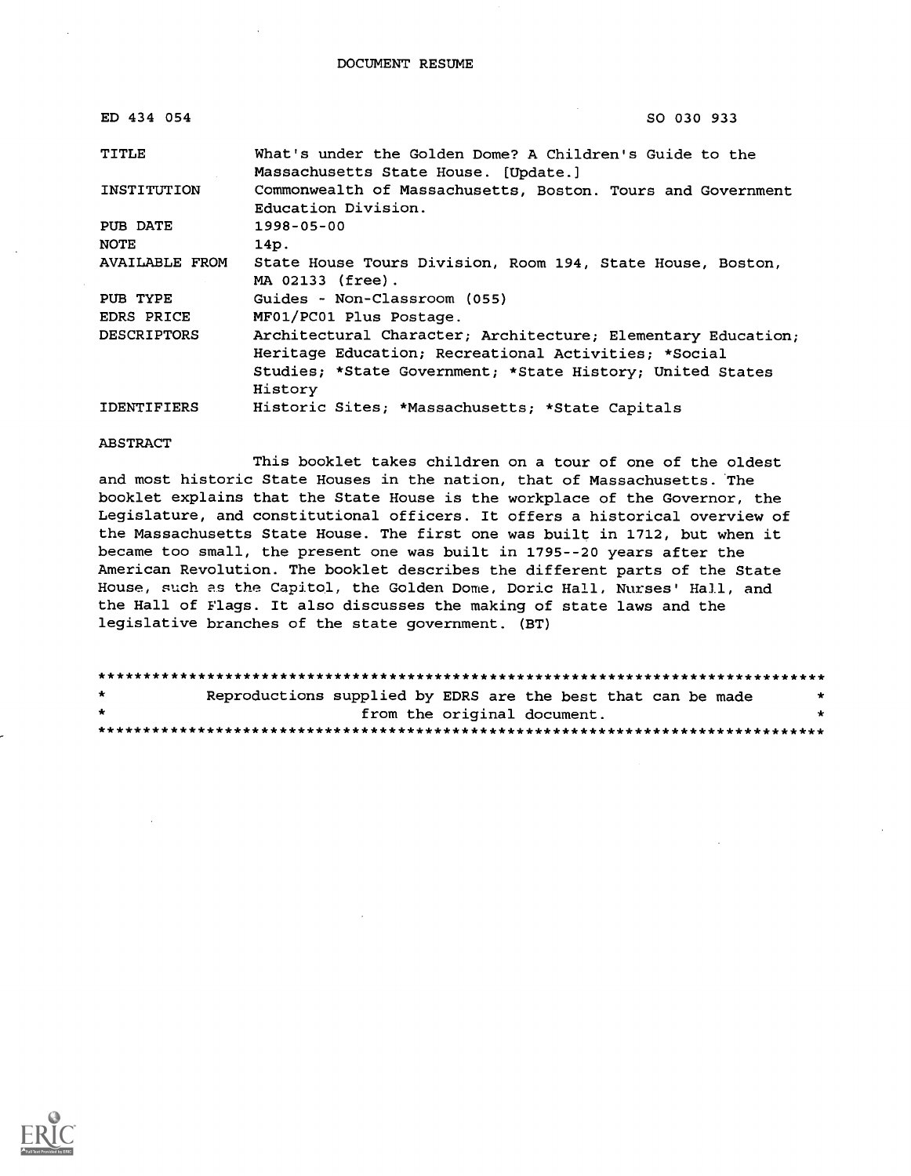| ED 434 054            | SO 030 933                                                                                                                 |
|-----------------------|----------------------------------------------------------------------------------------------------------------------------|
| TITLE                 | What's under the Golden Dome? A Children's Guide to the                                                                    |
| INSTITUTION           | Massachusetts State House. [Update.]<br>Commonwealth of Massachusetts, Boston. Tours and Government<br>Education Division. |
| PUB DATE              | $1998 - 05 - 00$                                                                                                           |
| <b>NOTE</b>           | 14p.                                                                                                                       |
| <b>AVAILABLE FROM</b> | State House Tours Division, Room 194, State House, Boston,<br>MA 02133 (free).                                             |
| PUB TYPE              | Guides - Non-Classroom (055)                                                                                               |
| EDRS PRICE            | MF01/PC01 Plus Postage.                                                                                                    |
| <b>DESCRIPTORS</b>    | Architectural Character; Architecture; Elementary Education;                                                               |
|                       | Heritage Education; Recreational Activities; *Social                                                                       |
|                       | Studies; *State Government; *State History; United States                                                                  |
|                       | History                                                                                                                    |
| <b>IDENTIFIERS</b>    | Historic Sites; *Massachusetts; *State Capitals                                                                            |

ABSTRACT

This booklet takes children on a tour of one of the oldest and most historic State Houses in the nation, that of Massachusetts. The booklet explains that the State House is the workplace of the Governor, the Legislature, and constitutional officers. It offers a historical overview of the Massachusetts State House. The first one was built in 1712, but when it became too small, the present one was built in 1795--20 years after the American Revolution. The booklet describes the different parts of the State House, such as the Capitol, the Golden Dome, Doric Hall, Nurses' Hall, and the Hall of Flags. It also discusses the making of state laws and the legislative branches of the state government. (BT)

| *       | Reproductions supplied by EDRS are the best that can be made |  |  |  |
|---------|--------------------------------------------------------------|--|--|--|
| $\star$ | from the original document.                                  |  |  |  |
|         |                                                              |  |  |  |

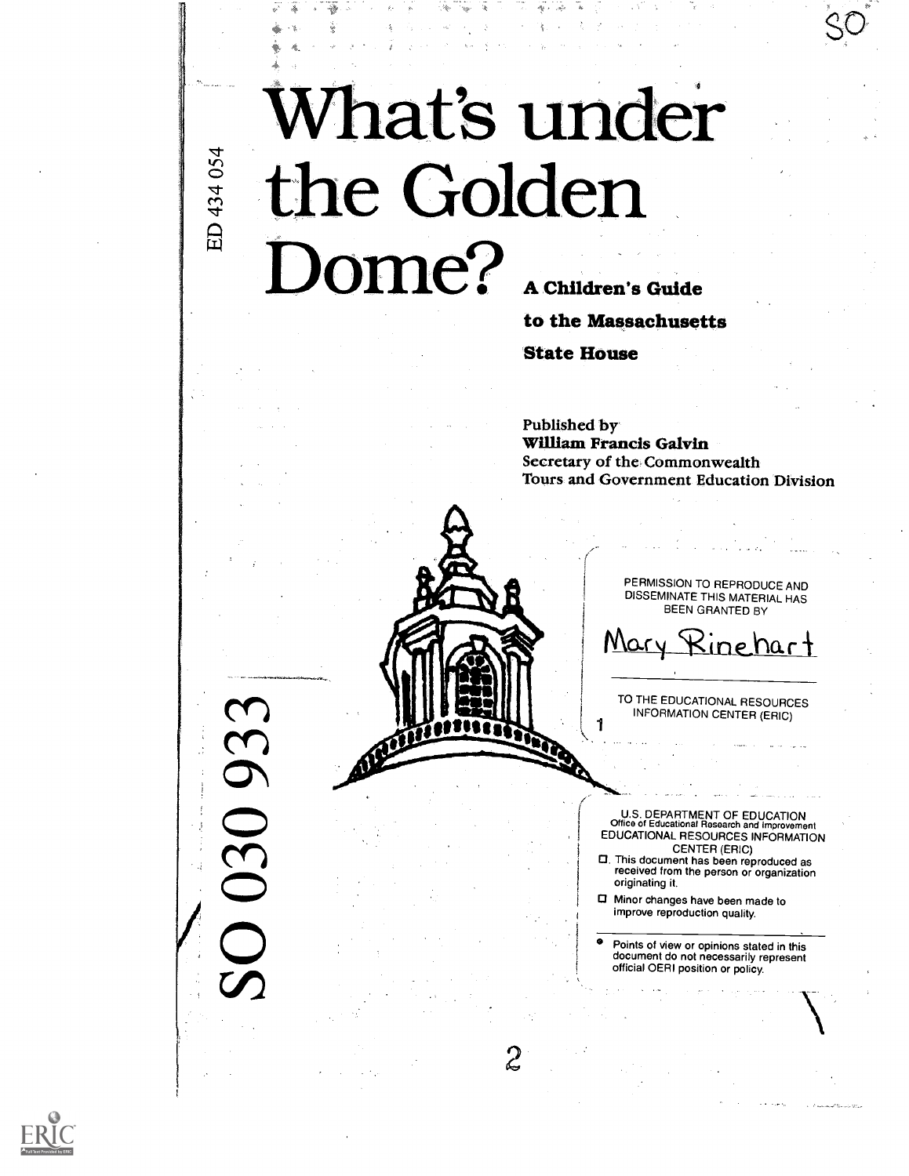## What's under he Golden Dome? A Children's Guide

2

to the Massachusetts

State House

Published by William Francis Galvin Secretary of the, Commonwealth Tours and Government Education Division

> PERMISSION TO REPRODUCE AND DISSEMINATE THIS MATERIAL HAS BEEN GRANTED BY

Mary Rinehart

TO THE EDUCATIONAL RESOURCES INFORMATION CENTER (ERIC)

U.S. DEPARTMENT OF EDUCATION Office of Educational Research and Improvement EDUCATIONAL RESOURCES INFORMATION<br>
CENTER (ERIC)

- CENTER (ERIC) O. This document has been reproduced as received from the person or organization originating it.
- Minor changes have been made to improve reproduction quality.

Points of view or opinions stated in this document do not necessarily represent official OERI position or policy.



 $\Omega$ 

 $\widetilde{\mathbf{Y}}$ 

ED 434 054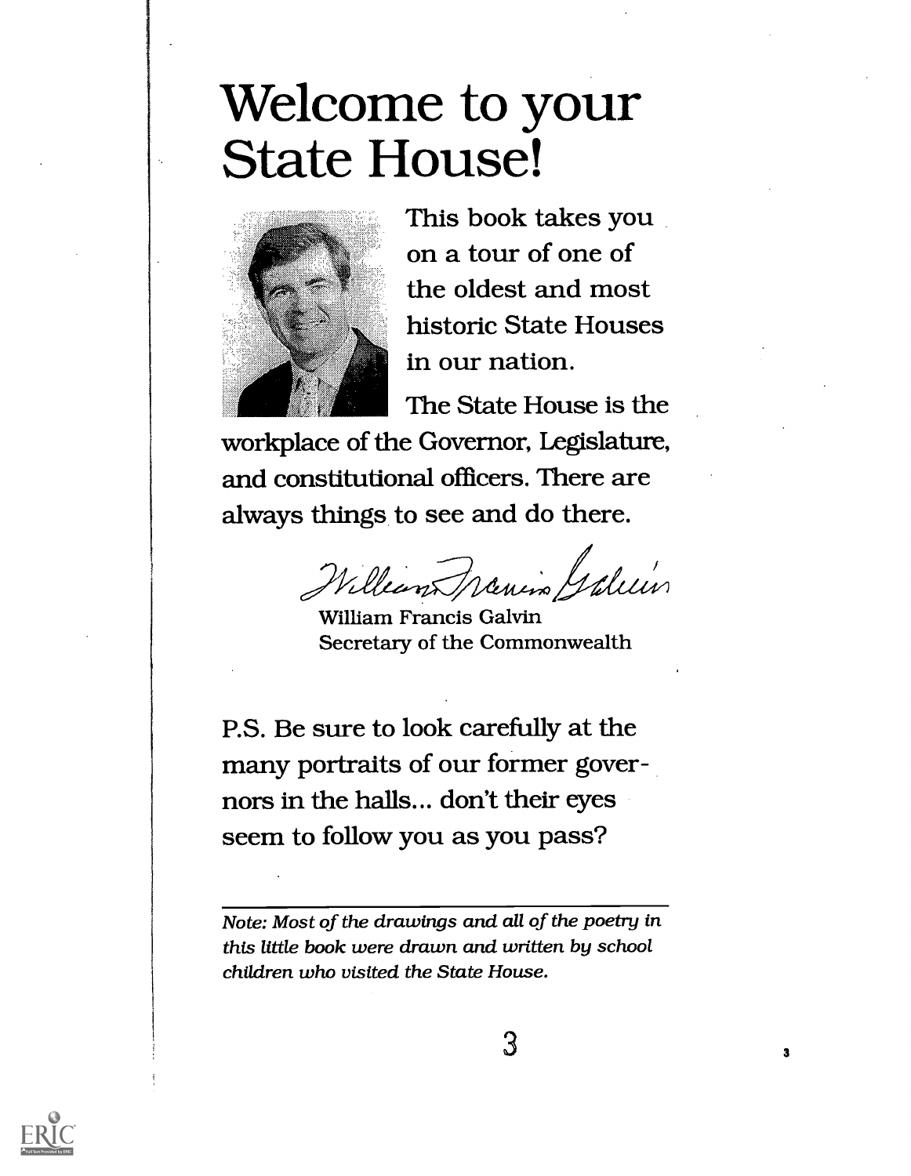### Welcome to your State House!



This book takes you on a tour of one of the oldest and most historic State Houses in our nation.

The State House is the

workplace of the Governor, Legislature, and constitutional officers. There are always things to see and do there.

William Travin Galein

William Francis Galvin Secretary of the Commonwealth

P.S. Be sure to look carefully at the many portraits of our former governors in the halls... don't their eyes seem to follow you as you pass?

Note: Most of the drawings and all of the poetry in this little book were drawn and written by school children who visited the State House.

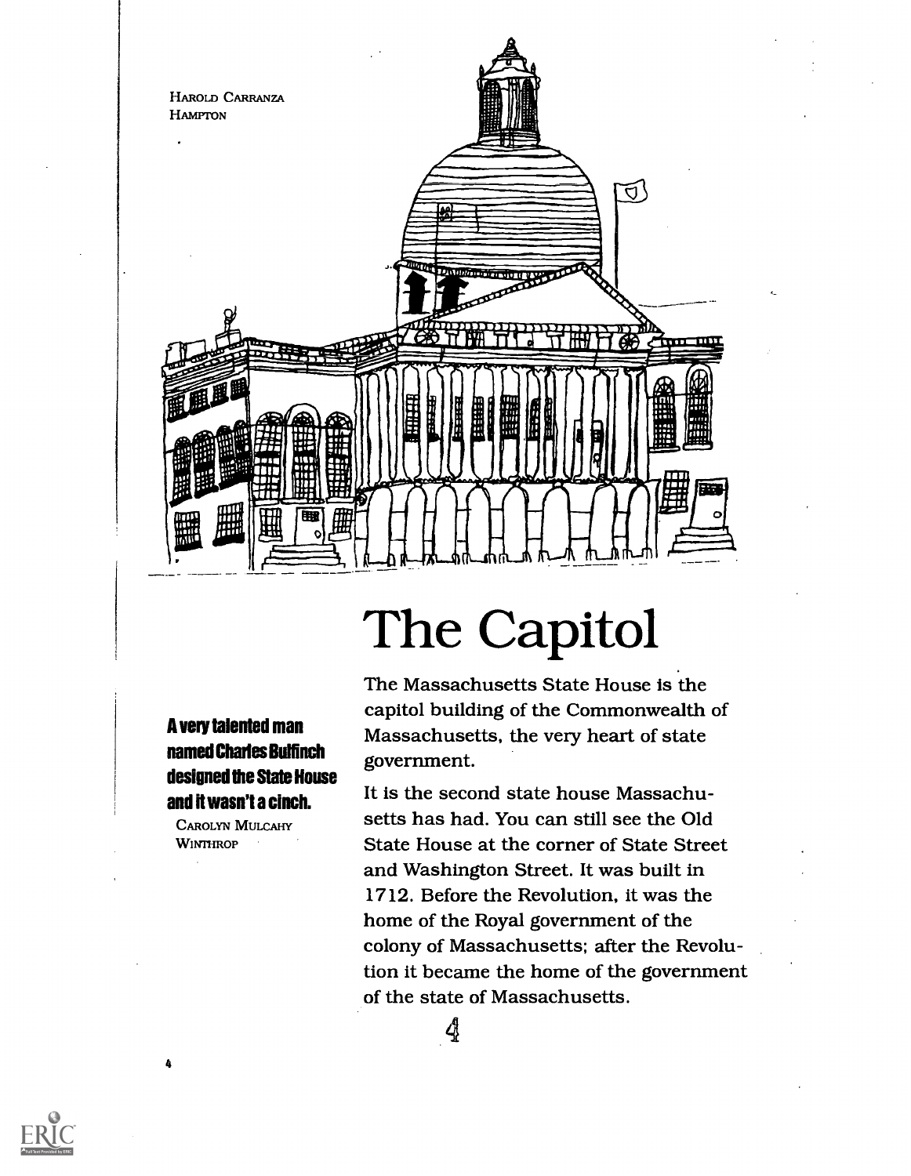

### The Capitol

A very talented man named Charles Bulfinch designed the State House and it wasn't a cinch.

CAROLYN MULCAHY **WINTHROP** 

4

The Massachusetts State House is the capitol building of the Commonwealth of Massachusetts, the very heart of state government.

It is the second state house Massachusetts has had. You can still see the Old State House at the corner of State Street and Washington Street. It was built in 1712. Before the Revolution, it was the home of the Royal government of the colony of Massachusetts; after the Revolution it became the home of the government of the state of Massachusetts.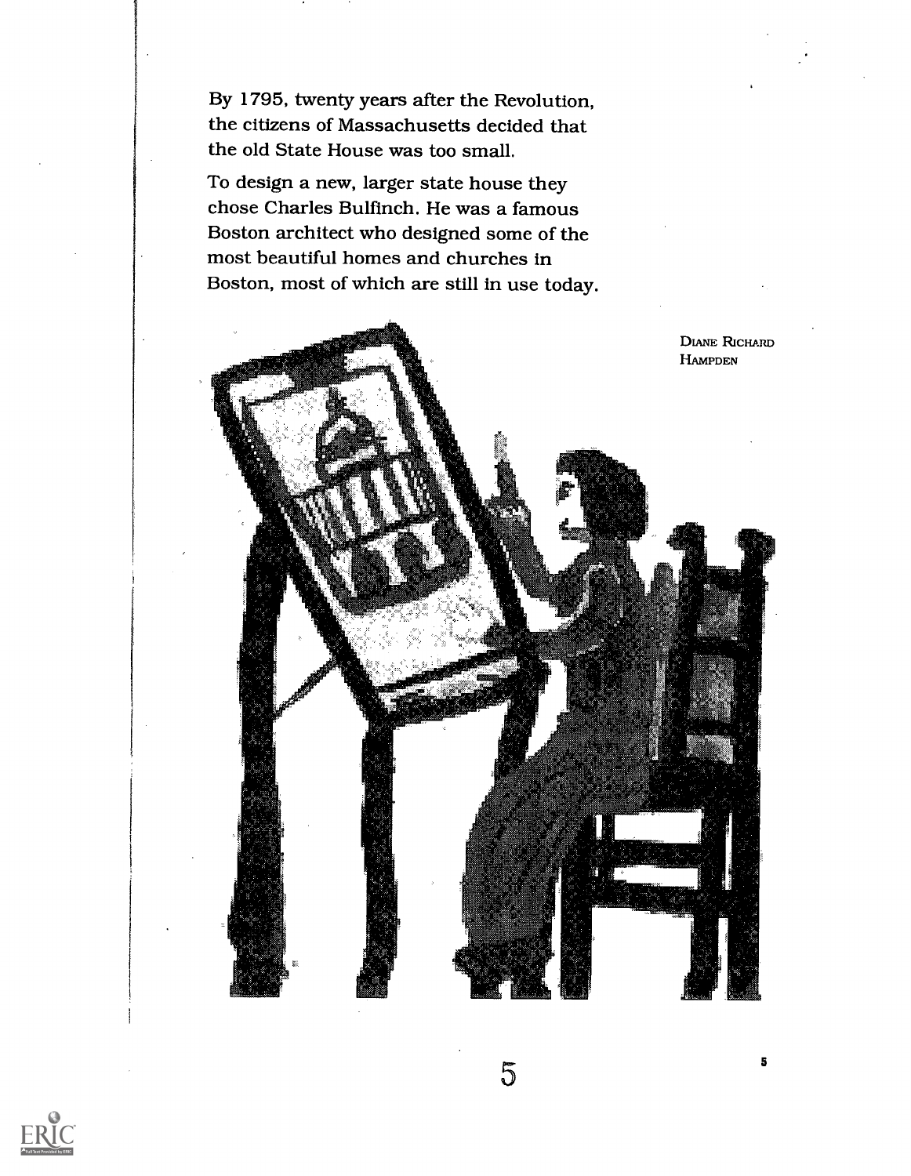By 1795, twenty years after the Revolution, the citizens of Massachusetts decided that the old State House was too small.

To design a new, larger state house they chose Charles Bulfinch. He was a famous Boston architect who designed some of the most beautiful homes and churches in Boston, most of which are still in use today.



5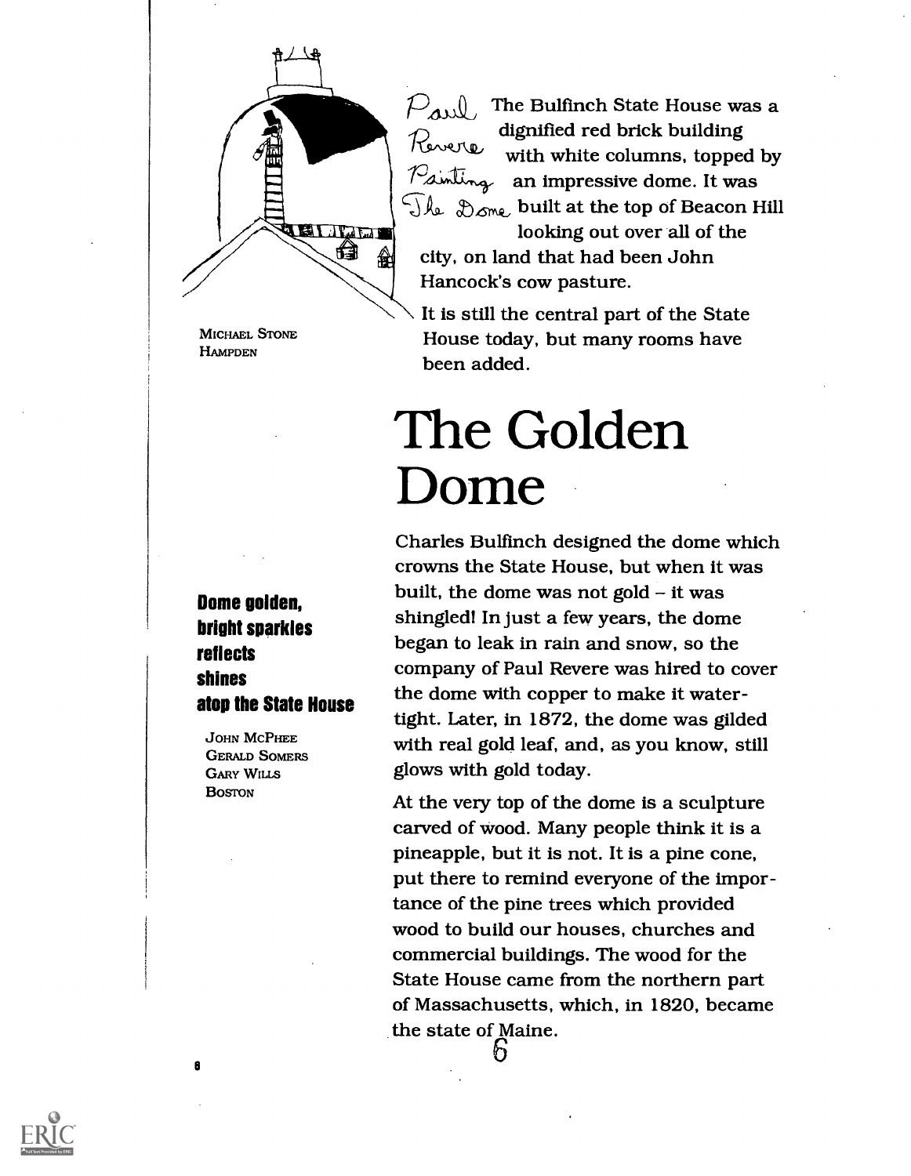

MICHAEL STONE **HAMPDEN** 

Dome golden, bright sparkles reflects shines atop the State House

JOHN MCPHEE GERALD SOMERS GARY WILLS **BOSTON** 

 $P_{\text{all}}$  The Bulfinch State House was a dignified red brick building with white columns, topped by with which we will have the me. It was  $\widehat{\mathbb{C}}$ ke  $\mathcal{D}_{\text{one}}$  built at the top of Beacon Hill

looking out over all of the city, on land that had been John Hancock's cow pasture.

It is still the central part of the State House today, but many rooms have been added.

### The Golden Dome

Charles Bulfmch designed the dome which crowns the State House, but when it was built, the dome was not gold  $-$  it was shingled! In just a few years, the dome began to leak in rain and snow, so the company of Paul Revere was hired to cover the dome with copper to make it watertight. Later, in 1872, the dome was gilded with real gold leaf, and, as you know, still glows with gold today.

At the very top of the dome is a sculpture carved of wood. Many people think it is a pineapple, but it is not. It is a pine cone, put there to remind everyone of the importance of the pine trees which provided wood to build our houses, churches and commercial buildings. The wood for the State House came from the northern part of Massachusetts, which, in 1820, became the state of Maine.ł)

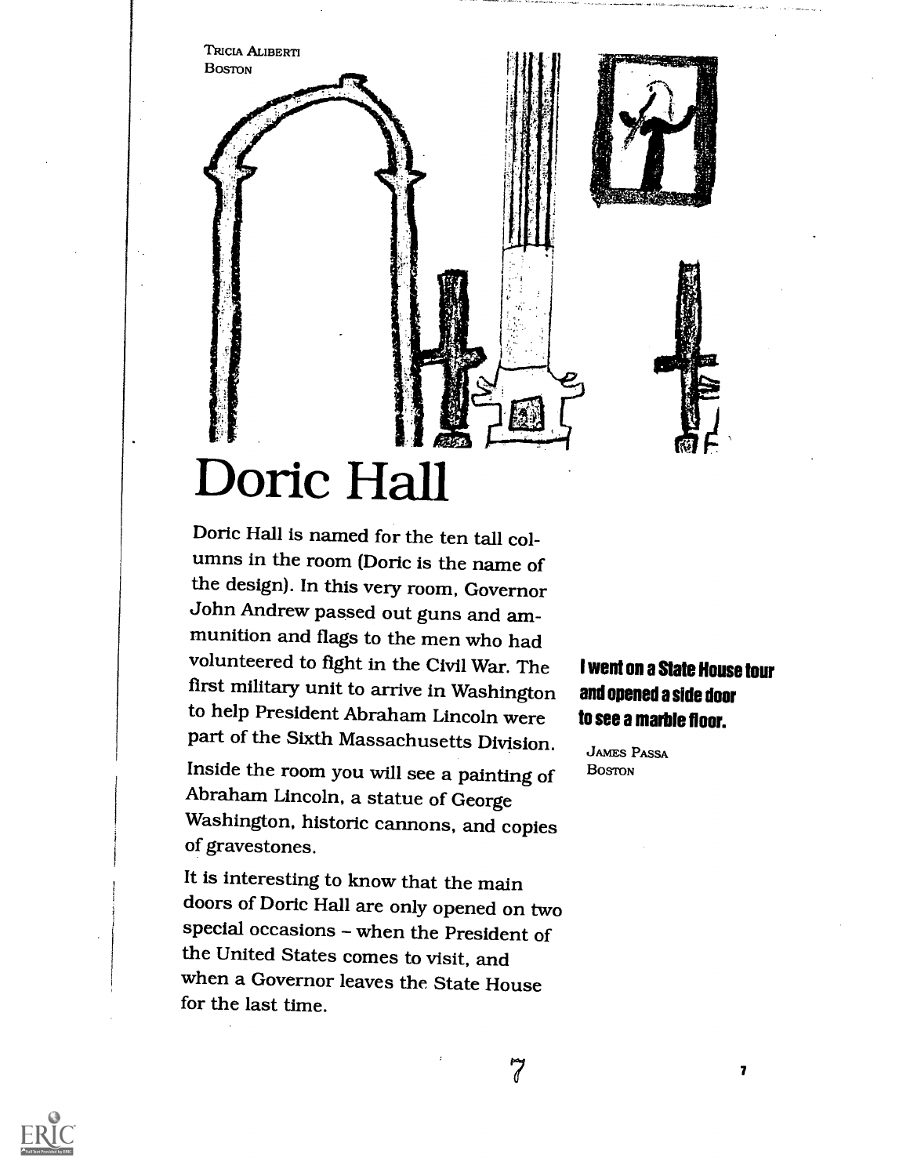

### Doric Hall

Doric Hall is named for the ten tall columns in the room (Doric is the name of the design). In this very room, Governor John Andrew passed out guns and ammunition and flags to the men who had volunteered to fight in the Civil War. The first military unit to arrive in Washington to help President Abraham Lincoln were part of the Sixth Massachusetts Division.

Inside the room you will see a painting of Abraham Lincoln, a statue of George Washington, historic cannons, and copies of gravestones.

It is interesting to know that the main doors of Doric Hall are only opened on two special occasions - when the President of the United States comes to visit, and when a Governor leaves the State House for the last time.

#### I went on a State House tour and opened a side door to see a marble floor.

JAMES PASSA BOSTON

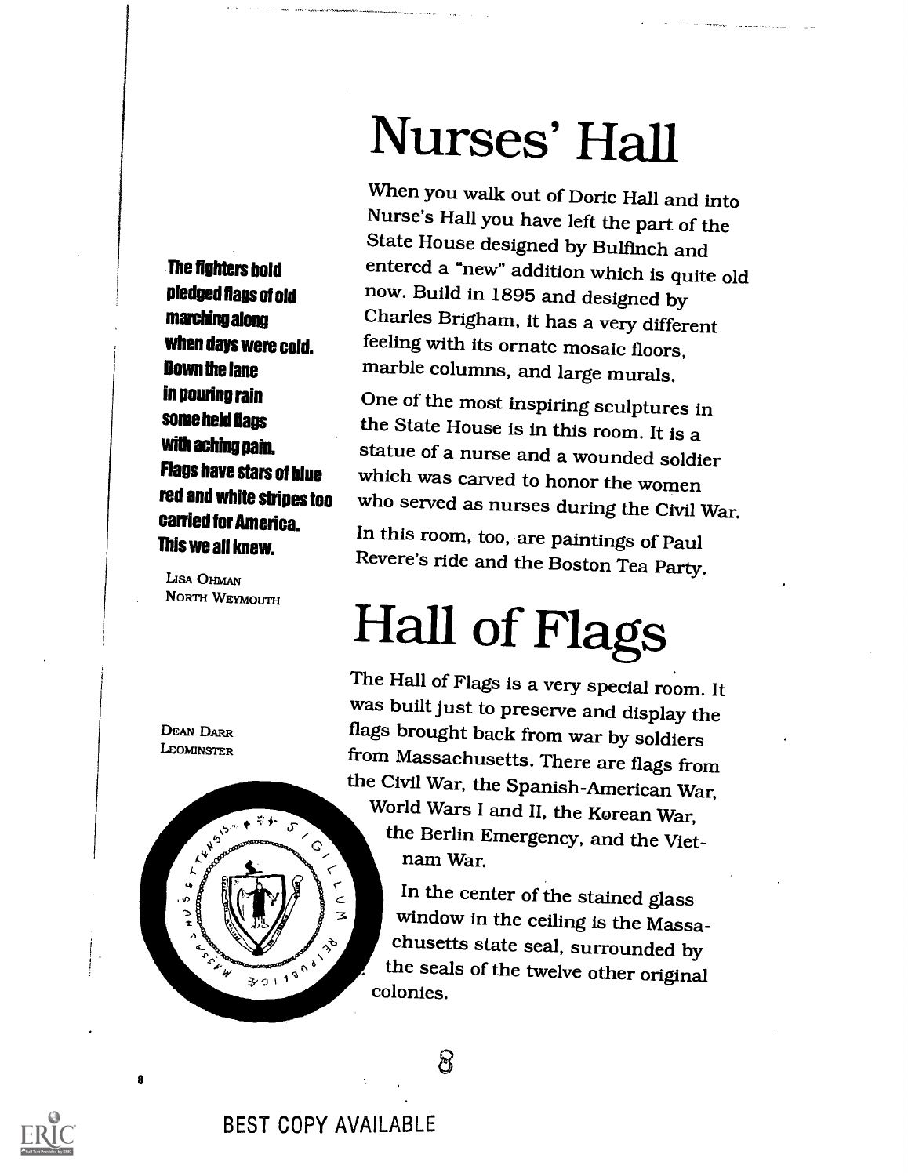Nurses' Hall

pledged flags of old now. Build in 1895 and designed by<br>**marching along** Charles Brigham, it has a very different When you walk out of Doric Hall and into Nurse's Hall you have left the part of the State House designed by Bulfinch and entered a "new" addition which is quite old feeling with its ornate mosaic floors, marble columns, and large murals.

> One of the most inspiring sculptures in the State House is in this room. It is a statue of a nurse and a wounded soldier which was carved to honor the women who served as nurses during the Civil War.

In this room, too, are paintings of Paul Revere's ride and the Boston Tea Party.

## Hall of Flags

The Hall of Flags is a very special room. It was built just to preserve and display the flags brought back from war by soldiers from Massachusetts. There are flags from the Civil War, the Spanish-American War, World Wars I and II, the Korean War, c<br>
the Berlin Emergency, and the Vietnam War.

 $\zeta$  In the center of the stained glass window in the ceiling is the Massachusetts state seal, surrounded by the seals of the twelve other original colonies.

හි

The fighters bold marching along when days were cold. Down the lane in pouring rain some held flags with aching pain. Flags have stars of blue red and white stripes too carried for America. This we all knew.

LISA OHMAN NORTH WEYMOUTH



 $^{\circ}$  הי



 $\bullet$ 

BEST COPY AVAILABLE

-3.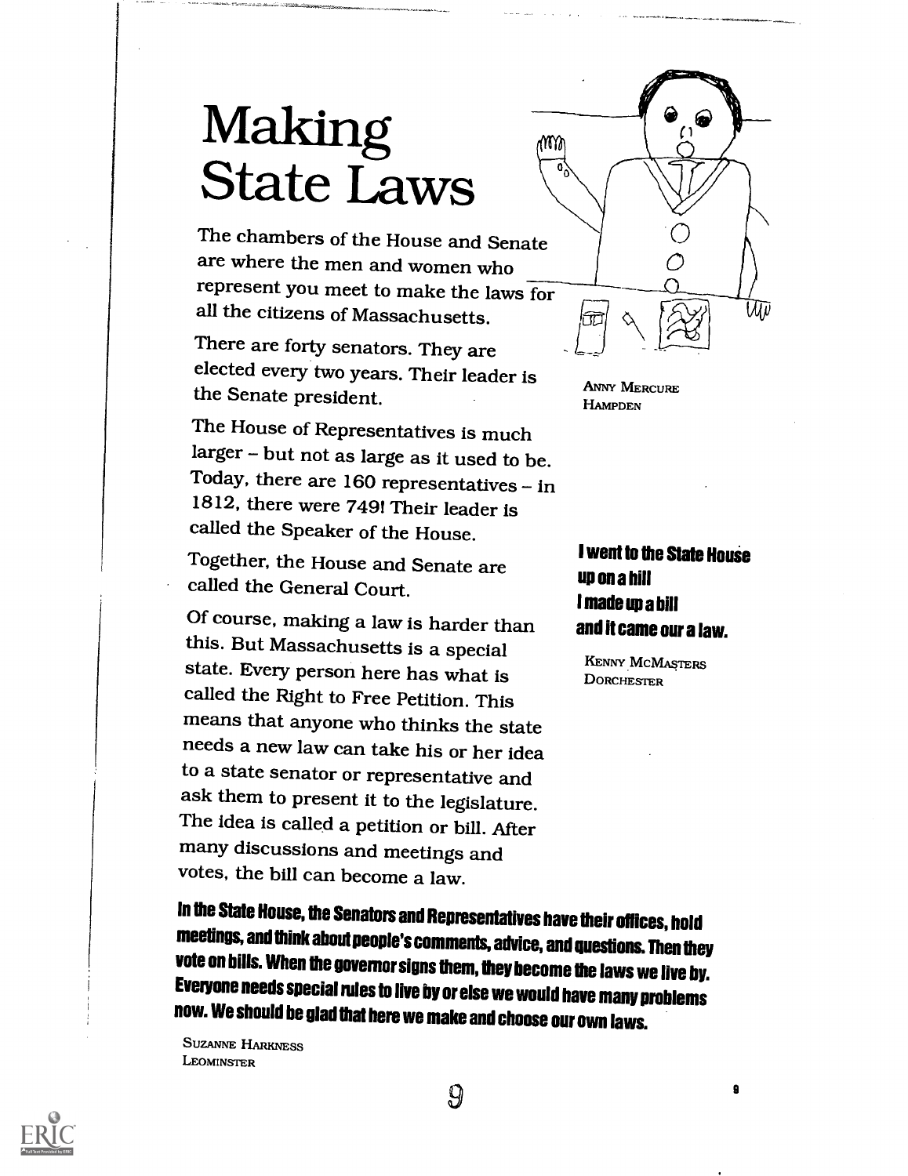### Making T State Laws

The chambers of the House and Senate are where the men and women who represent you meet to make the laws for all the citizens of Massachusetts.

There are forty senators. They are elected every two years. Their leader is the Senate president.

The House of Representatives is much larger - but not as large as it used to be. Today, there are  $160$  representatives - in 1812, there were 7491 Their leader is called the Speaker of the House.

Together, the House and Senate are called the General Court.

Of course, making a law is harder than this. But Massachusetts is a special state. Every person here has what is called the Right to Free Petition. This means that anyone who thinks the state needs a new law can take his or her idea to a state senator or representative and ask them to present it to the legislature. The idea is called a petition or bill. After many discussions and meetings and votes, the bill can become a law.

In the State House, the Senators and Representatives have their offices, hold meetings, and think about people's comments, advice, and questions. Then they vote on bills. When the governor signs them, they become the laws we live by. Everyone needs special rules to live by or else we would have many problems now. We should be glad that herewe make and choose our own laws.

SUZANNE HARKNESS LEOMINSTER



ANNY MERCURE **HAMPDEN** 

#### I went to the State House up on a hill I made up a bill and it came our a law.

p

KENNY MCMASTERS **DORCHESTER** 

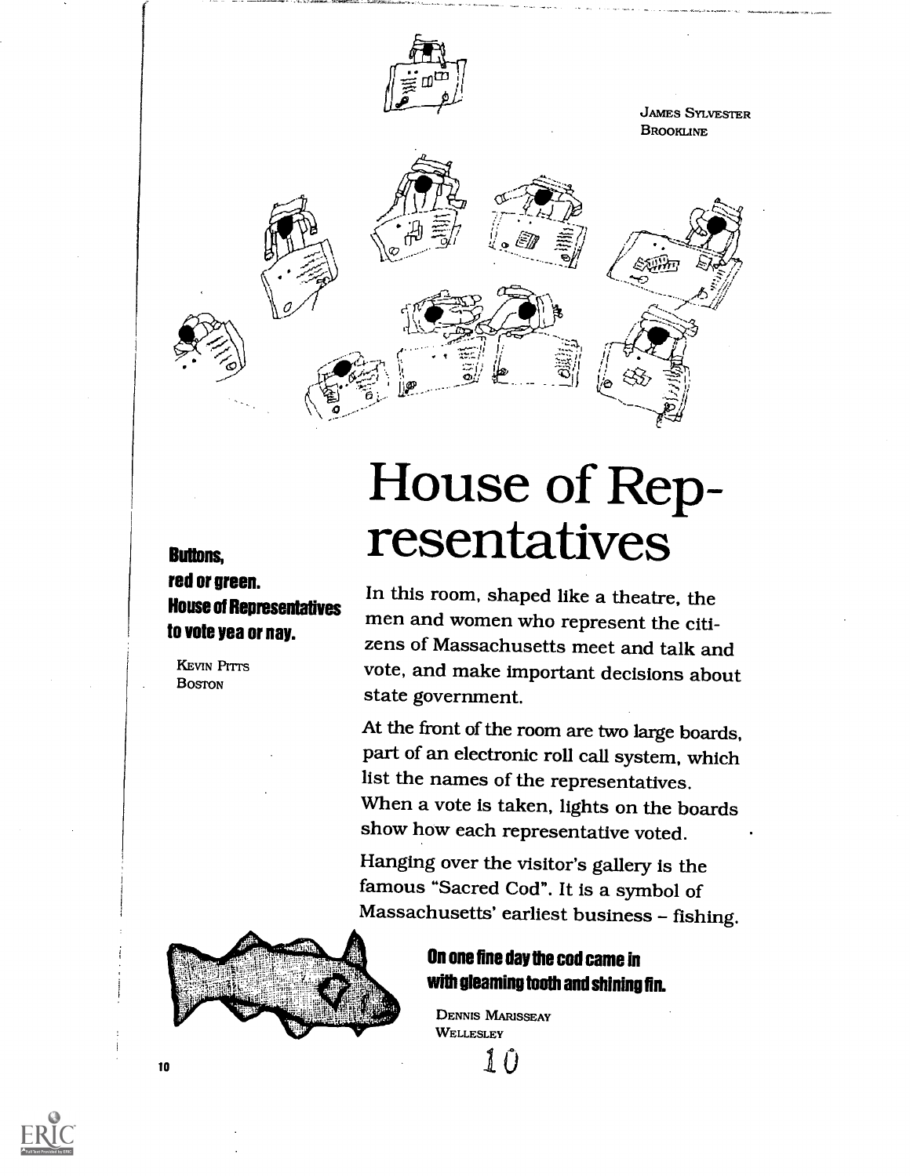

### House of Representatives

In this room, shaped like a theatre, the men and women who represent the citizens of Massachusetts meet and talk and vote, and make important decisions about state government.

At the front of the room are two large boards, part of an electronic roll call system, which list the names of the representatives. When a vote is taken, lights on the boards show how each representative voted.

Hanging over the visitor's gallery is the famous "Sacred Cod". It is a symbol of Massachusetts' earliest business - fishing.



Buttons,

red or green.

**KEVIN PITTS BOSTON** 

to vote yea or nay.

House of Representatives

#### On one fine day the cod came in with gleaming tooth and shining fin.

DENNIS MARISSEAY **WELLESLEY** 



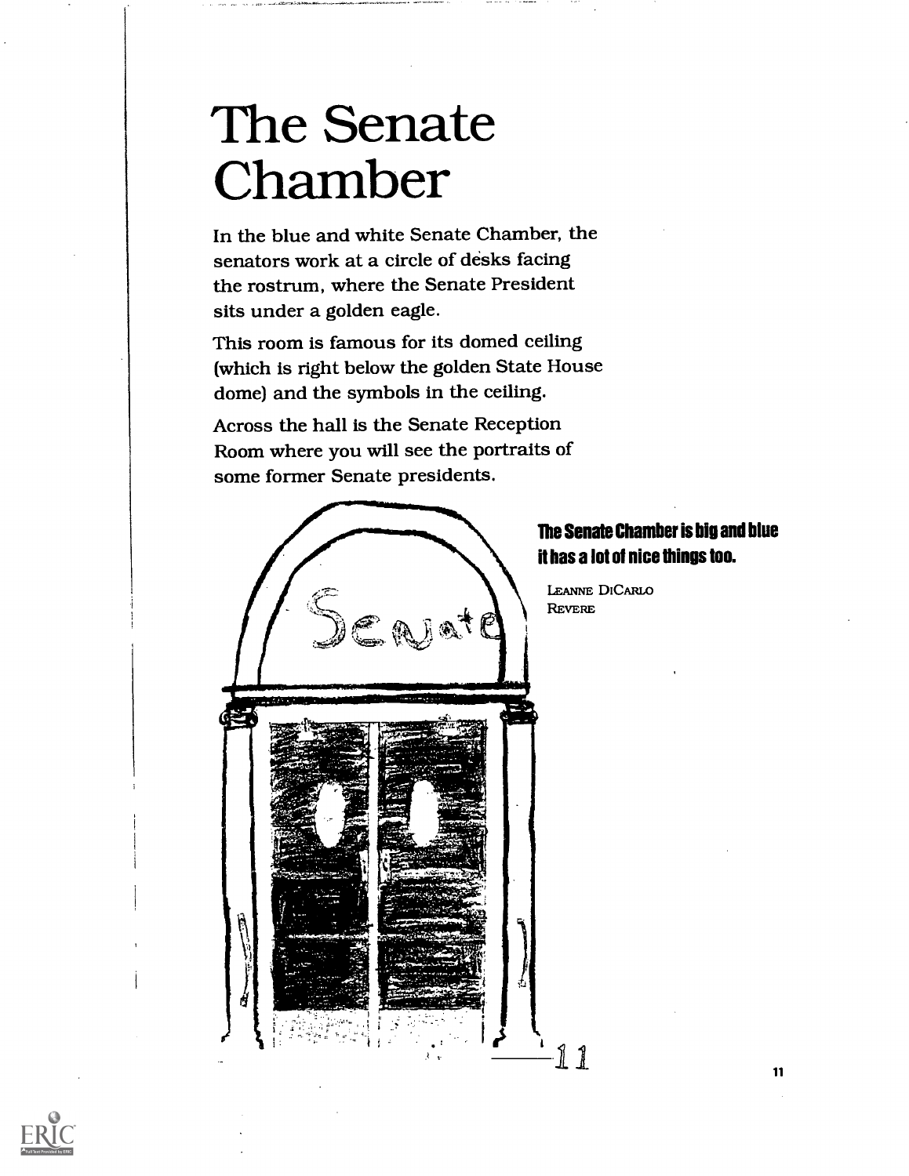### The Senate Chamber

In the blue and white Senate Chamber, the senators work at a circle of desks facing the rostrum, where the Senate President sits under a golden eagle.

This room is famous for its domed ceiling (which is right below the golden State House dome) and the symbols in the ceiling.

Across the hall is the Senate Reception Room where you will see the portraits of some former Senate presidents.



#### The Senate Chamber is big and blue it has a lot of nice things too.

LEANNE DICARLO

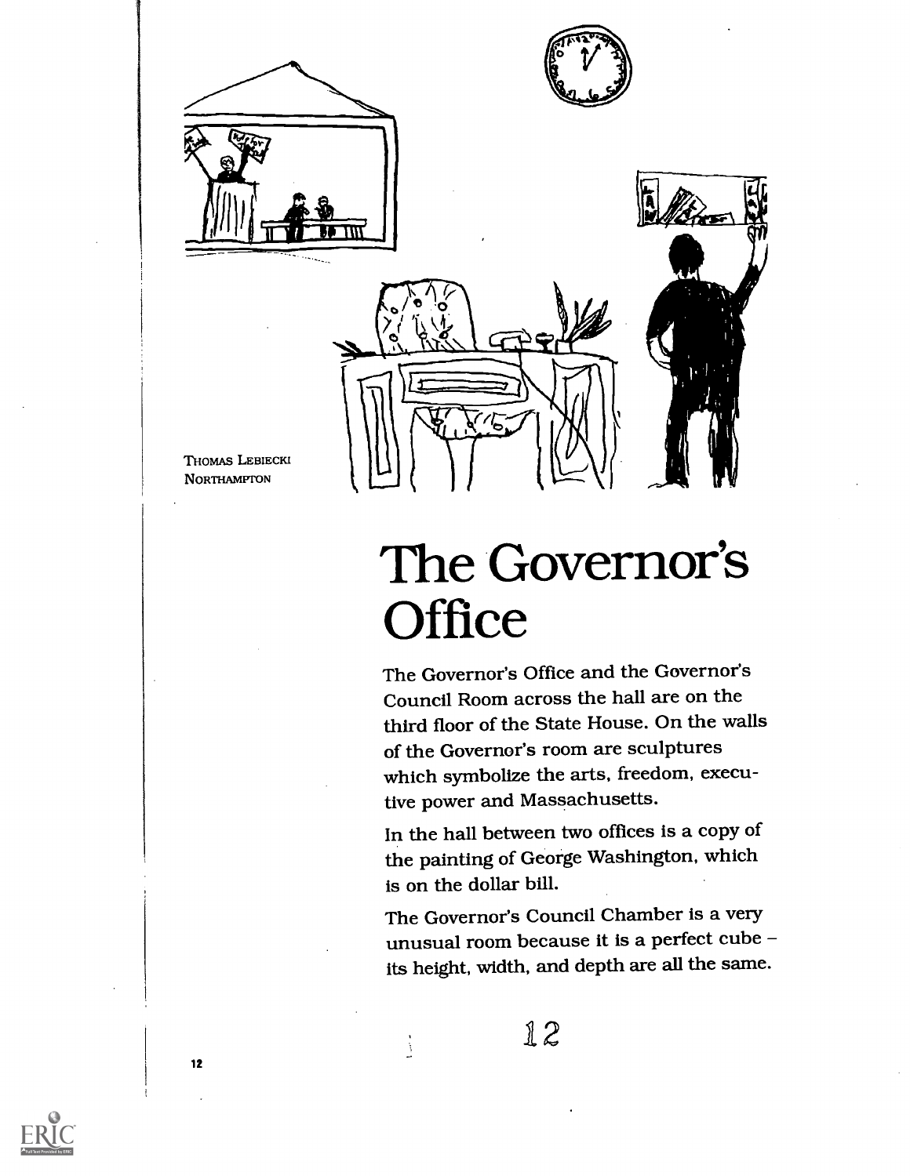





THOMAS LEBIECKI NORTHAMPTON

### The Governor's **Office**

The Governor's Office and the Governor's Council Room across the hall are on the third floor of the State House. On the walls of the Governor's room are sculptures which symbolize the arts, freedom, executive power and Massachusetts.

In the hall between two offices is a copy of the painting of George Washington, which is on the dollar bill.

The Governor's Council Chamber is a very unusual room because it is a perfect cube its height, width, and depth are all the same.

12

Â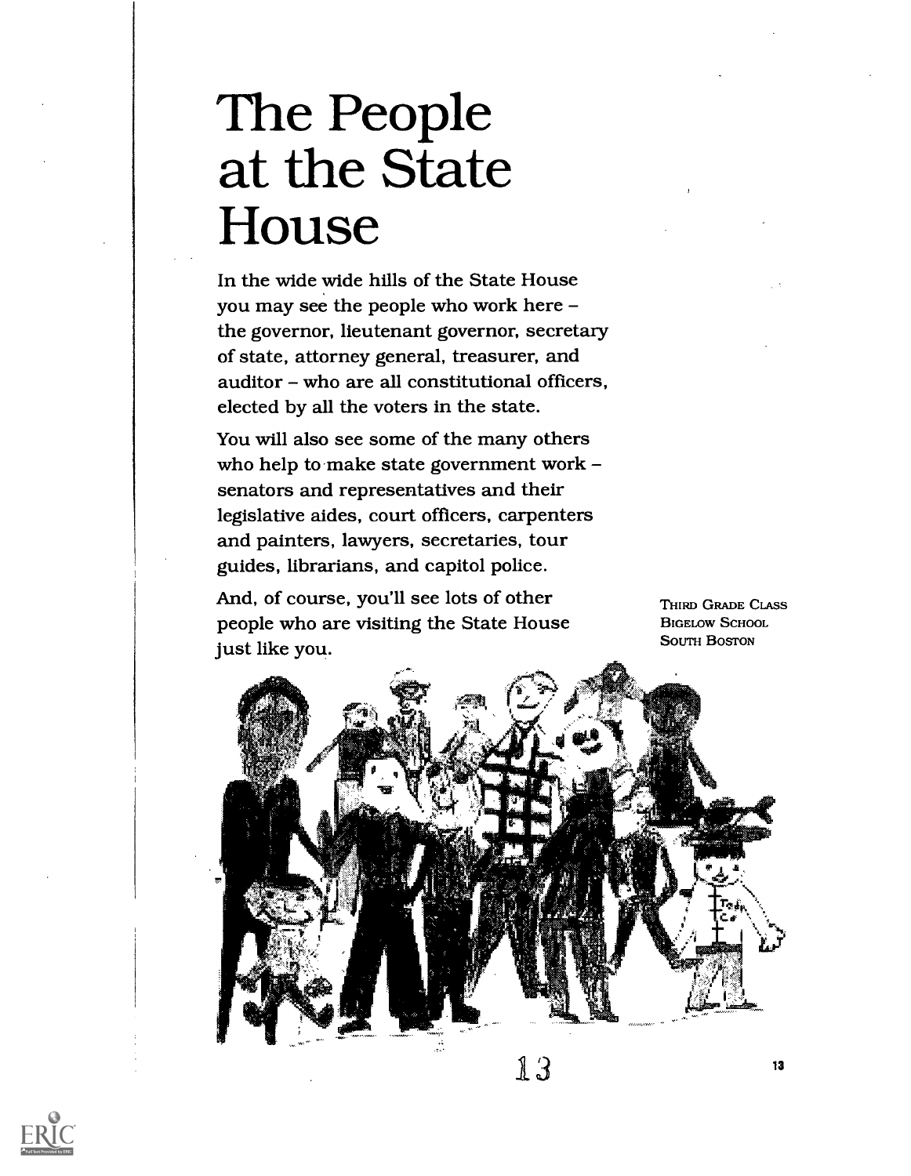# The People at the State House

In the wide wide hills of the State House you may see the people who work here the governor, lieutenant governor, secretary of state, attorney general, treasurer, and  $a$ uditor – who are all constitutional officers, elected by all the voters in the state.

You will also see some of the many others who help to make state government work senators and representatives and their legislative aides, court officers, carpenters and painters, lawyers, secretaries, tour guides, librarians, and capitol police.

And, of course, you'll see lots of other people who are visiting the State House just like you.

THIRD GRADE CLASS BIGELOW SCHOOL SOUTH BOSTON

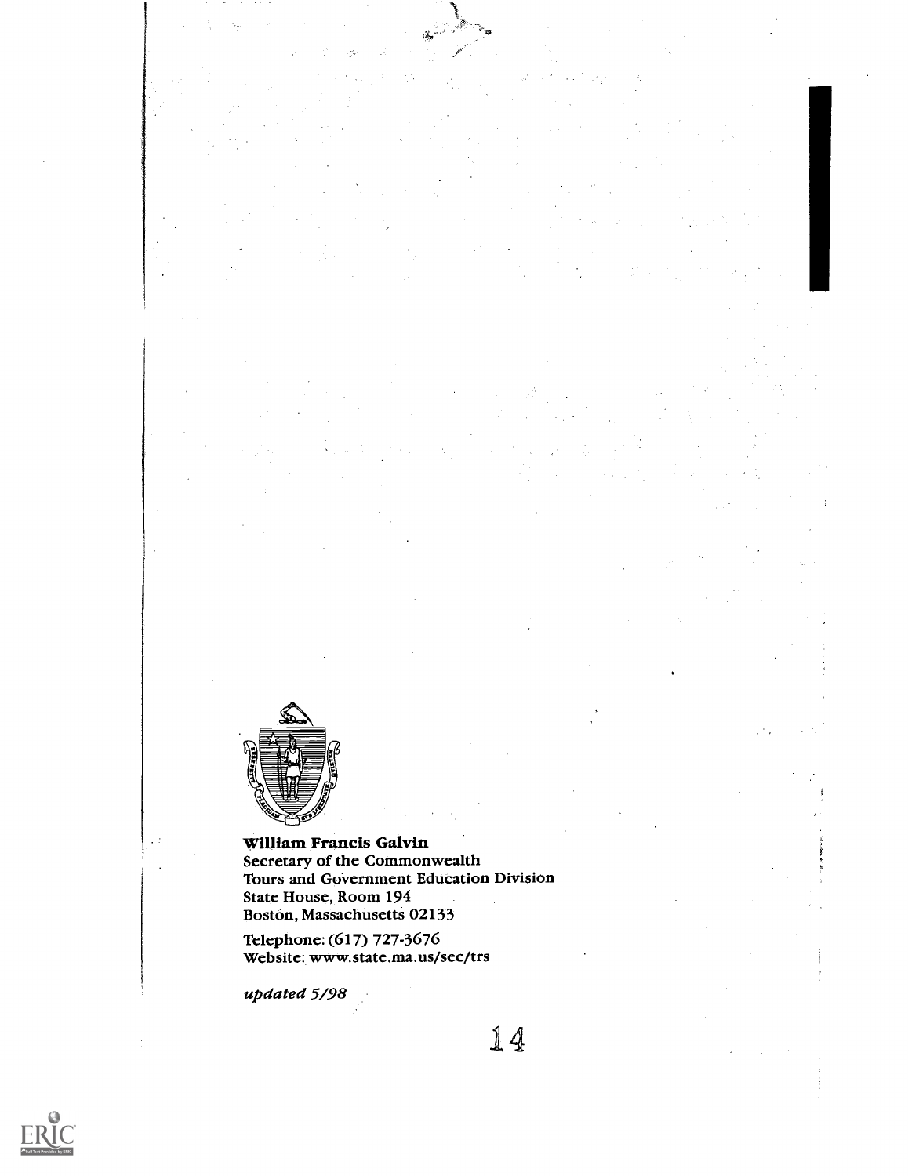

 $\ddot{\phantom{0}}$ 

#### William Francis Galvin Secretary of the Commonwealth Tours and Government Education Division

State House, Room 194 Boston, Massachusetts 02133

Telephone: (617) 727-3676 Website: www.state.ma.us/sec/trs

updated 5/98

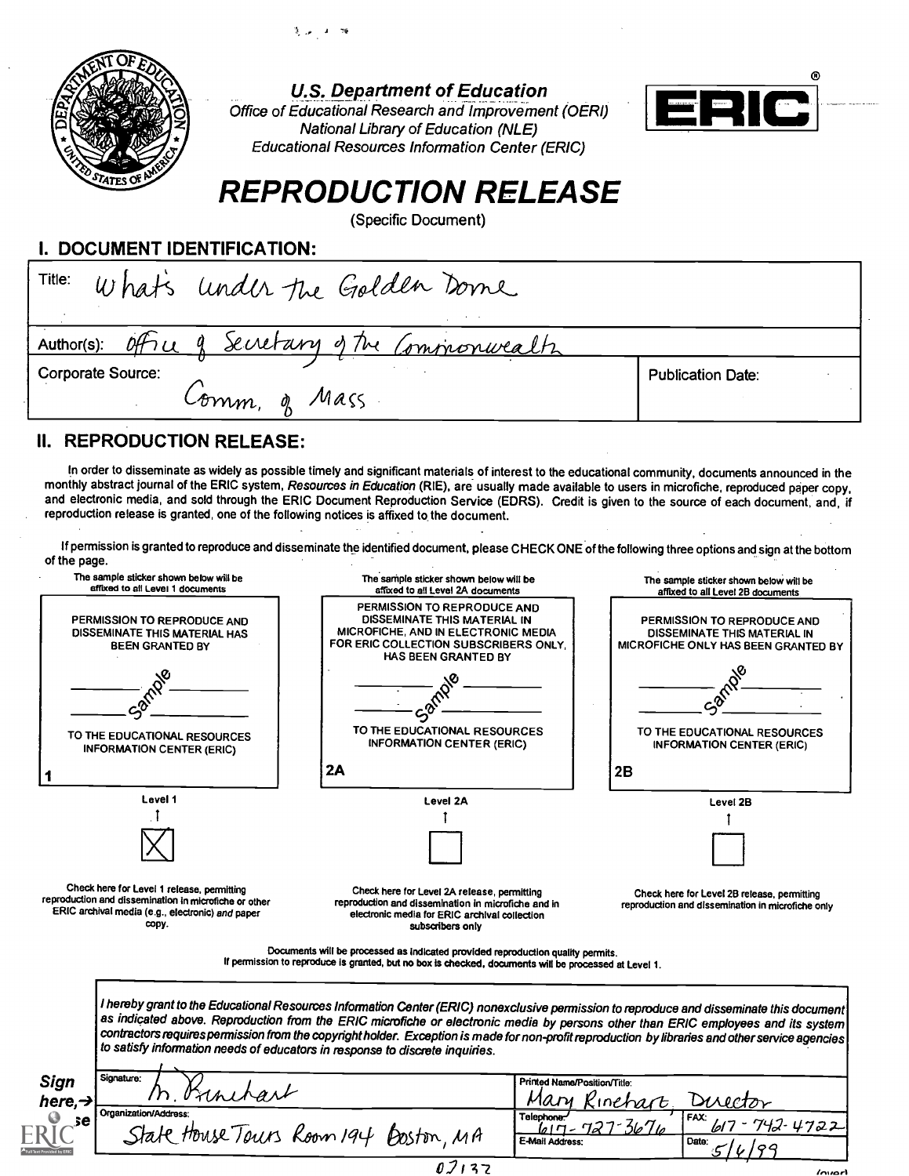



U.S. Department of Education

Office of Educational Research and Improvement (OERI) National Library of Education (NLE) Educational Resources Information Center (ERIC)



### REPRODUCTION RELEASE

(Specific Document)

I. DOCUMENT IDENTIFICATION:

| Title:<br>What's under the Golden Dome             |                          |
|----------------------------------------------------|--------------------------|
| Author(s): Office of Secretary of the Commonwealtz |                          |
| Corporate Source:<br>Comm, of Mass                 | <b>Publication Date:</b> |

#### II. REPRODUCTION RELEASE:

In order to disseminate as widely as possible timely and significant materials of interest to the educational community, documents announced in the monthly abstract journal of the ERIC system, Resources in Education (RIE), are usually made available to users in microfiche, reproduced paper copy, and electronic media, and sold through the ERIC Document Reproduction Service (EDRS). Credit is given to the source of each document, and, if reproduction release is granted, one of the following notices is affixed to the document.

If permission is granted to reproduce and disseminate the identified document, please CHECK ONE of the following three options and sign at the bottom of the page.

| PERMISSION TO REPRODUCE AND<br>DISSEMINATE THIS MATERIAL IN<br>PERMISSION TO REPRODUCE AND<br>PERMISSION TO REPRODUCE AND<br>MICROFICHE, AND IN ELECTRONIC MEDIA<br>DISSEMINATE THIS MATERIAL HAS<br>DISSEMINATE THIS MATERIAL IN<br>FOR ERIC COLLECTION SUBSCRIBERS ONLY,<br><b>BEEN GRANTED BY</b><br><b>HAS BEEN GRANTED BY</b><br>TO THE EDUCATIONAL RESOURCES<br>TO THE EDUCATIONAL RESOURCES<br>TO THE EDUCATIONAL RESOURCES<br><b>INFORMATION CENTER (ERIC)</b><br><b>INFORMATION CENTER (ERIC)</b><br><b>INFORMATION CENTER (ERIC)</b><br>2A<br>2B<br>Level 1<br>Level 2A<br>Level 2B<br>Check here for Level 1 release, permitting<br>Check here for Level 2A release, permitting<br>Check here for Level 2B release, permitting<br>reproduction and dissemination in microfiche or other<br>reproduction and dissemination in microfiche and in<br>reproduction and dissemination in microfiche only<br>ERIC archival media (e.g., electronic) and paper<br>electronic media for ERIC archival collection<br>copy.<br>subscribers only<br>Documents will be processed as indicated provided reproduction quality permits.<br>If permission to reproduce is granted, but no box is checked, documents will be processed at Level 1.<br>I hereby grant to the Educational Resources Information Center (ERIC) nonexclusive permission to reproduce and disseminate this document<br>as indicated above. Reproduction from the ERIC microfiche or electronic media by persons other than ERIC employees and its system<br>contractors requires permission from the copyright holder. Exception is made for non-profit reproduction by libraries and other service agencies<br>to satisfy information needs of educators in response to discrete inquiries.<br>Signature:<br>Sign<br>Printed Name/Position/Title:<br>M. Bunchart<br>Mary Kinehart<br>here,→<br>Disector<br>Organization/Address:<br>Telephone:<br>FAX:<br>se<br>$lnn$ - 72<br>State House Tours Room 194 Boston, MA<br>E-Mail Address:<br>Date. | The sample sticker shown below will be<br>affixed to all Level 1 documents | The sample sticker shown below will be<br>affixed to all Level 2A documents | The sample sticker shown below will be<br>affixed to all Level 2B documents |
|-----------------------------------------------------------------------------------------------------------------------------------------------------------------------------------------------------------------------------------------------------------------------------------------------------------------------------------------------------------------------------------------------------------------------------------------------------------------------------------------------------------------------------------------------------------------------------------------------------------------------------------------------------------------------------------------------------------------------------------------------------------------------------------------------------------------------------------------------------------------------------------------------------------------------------------------------------------------------------------------------------------------------------------------------------------------------------------------------------------------------------------------------------------------------------------------------------------------------------------------------------------------------------------------------------------------------------------------------------------------------------------------------------------------------------------------------------------------------------------------------------------------------------------------------------------------------------------------------------------------------------------------------------------------------------------------------------------------------------------------------------------------------------------------------------------------------------------------------------------------------------------------------------------------------------------------------------------------------------------------------------------------------|----------------------------------------------------------------------------|-----------------------------------------------------------------------------|-----------------------------------------------------------------------------|
|                                                                                                                                                                                                                                                                                                                                                                                                                                                                                                                                                                                                                                                                                                                                                                                                                                                                                                                                                                                                                                                                                                                                                                                                                                                                                                                                                                                                                                                                                                                                                                                                                                                                                                                                                                                                                                                                                                                                                                                                                       |                                                                            |                                                                             | MICROFICHE ONLY HAS BEEN GRANTED BY                                         |
|                                                                                                                                                                                                                                                                                                                                                                                                                                                                                                                                                                                                                                                                                                                                                                                                                                                                                                                                                                                                                                                                                                                                                                                                                                                                                                                                                                                                                                                                                                                                                                                                                                                                                                                                                                                                                                                                                                                                                                                                                       |                                                                            |                                                                             |                                                                             |
|                                                                                                                                                                                                                                                                                                                                                                                                                                                                                                                                                                                                                                                                                                                                                                                                                                                                                                                                                                                                                                                                                                                                                                                                                                                                                                                                                                                                                                                                                                                                                                                                                                                                                                                                                                                                                                                                                                                                                                                                                       |                                                                            |                                                                             |                                                                             |
|                                                                                                                                                                                                                                                                                                                                                                                                                                                                                                                                                                                                                                                                                                                                                                                                                                                                                                                                                                                                                                                                                                                                                                                                                                                                                                                                                                                                                                                                                                                                                                                                                                                                                                                                                                                                                                                                                                                                                                                                                       |                                                                            |                                                                             |                                                                             |
|                                                                                                                                                                                                                                                                                                                                                                                                                                                                                                                                                                                                                                                                                                                                                                                                                                                                                                                                                                                                                                                                                                                                                                                                                                                                                                                                                                                                                                                                                                                                                                                                                                                                                                                                                                                                                                                                                                                                                                                                                       |                                                                            |                                                                             |                                                                             |
|                                                                                                                                                                                                                                                                                                                                                                                                                                                                                                                                                                                                                                                                                                                                                                                                                                                                                                                                                                                                                                                                                                                                                                                                                                                                                                                                                                                                                                                                                                                                                                                                                                                                                                                                                                                                                                                                                                                                                                                                                       |                                                                            |                                                                             |                                                                             |
|                                                                                                                                                                                                                                                                                                                                                                                                                                                                                                                                                                                                                                                                                                                                                                                                                                                                                                                                                                                                                                                                                                                                                                                                                                                                                                                                                                                                                                                                                                                                                                                                                                                                                                                                                                                                                                                                                                                                                                                                                       |                                                                            |                                                                             |                                                                             |
|                                                                                                                                                                                                                                                                                                                                                                                                                                                                                                                                                                                                                                                                                                                                                                                                                                                                                                                                                                                                                                                                                                                                                                                                                                                                                                                                                                                                                                                                                                                                                                                                                                                                                                                                                                                                                                                                                                                                                                                                                       |                                                                            |                                                                             |                                                                             |
|                                                                                                                                                                                                                                                                                                                                                                                                                                                                                                                                                                                                                                                                                                                                                                                                                                                                                                                                                                                                                                                                                                                                                                                                                                                                                                                                                                                                                                                                                                                                                                                                                                                                                                                                                                                                                                                                                                                                                                                                                       |                                                                            |                                                                             |                                                                             |
|                                                                                                                                                                                                                                                                                                                                                                                                                                                                                                                                                                                                                                                                                                                                                                                                                                                                                                                                                                                                                                                                                                                                                                                                                                                                                                                                                                                                                                                                                                                                                                                                                                                                                                                                                                                                                                                                                                                                                                                                                       |                                                                            |                                                                             |                                                                             |
|                                                                                                                                                                                                                                                                                                                                                                                                                                                                                                                                                                                                                                                                                                                                                                                                                                                                                                                                                                                                                                                                                                                                                                                                                                                                                                                                                                                                                                                                                                                                                                                                                                                                                                                                                                                                                                                                                                                                                                                                                       |                                                                            |                                                                             |                                                                             |
|                                                                                                                                                                                                                                                                                                                                                                                                                                                                                                                                                                                                                                                                                                                                                                                                                                                                                                                                                                                                                                                                                                                                                                                                                                                                                                                                                                                                                                                                                                                                                                                                                                                                                                                                                                                                                                                                                                                                                                                                                       |                                                                            |                                                                             | 42-4722                                                                     |